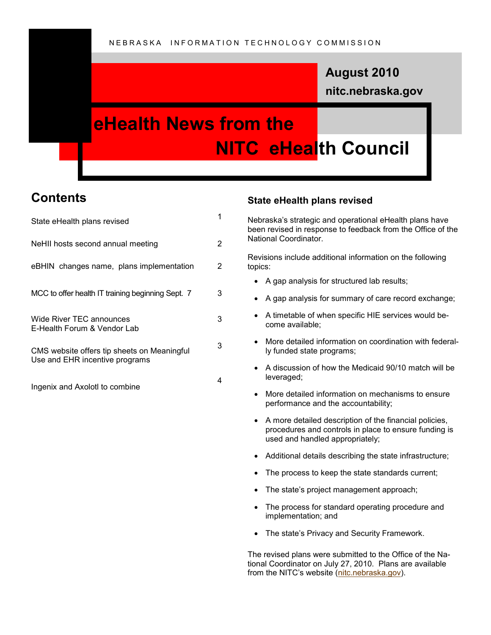## **nitc.nebraska.gov August 2010**

# **eHealth News from the NITC eHealth Council**

### **Contents**

| State eHealth plans revised                                                   |   |
|-------------------------------------------------------------------------------|---|
| NeHII hosts second annual meeting                                             | 2 |
| eBHIN changes name, plans implementation                                      | 2 |
| MCC to offer health IT training beginning Sept. 7                             | 3 |
| Wide River TEC announces<br>E-Health Forum & Vendor Lab                       | 3 |
| CMS website offers tip sheets on Meaningful<br>Use and EHR incentive programs | 3 |
| Ingenix and Axolot to combine                                                 | 4 |

### **State eHealth plans revised**

Nebraska's strategic and operational eHealth plans have been revised in response to feedback from the Office of the National Coordinator.

Revisions include additional information on the following topics:

- A gap analysis for structured lab results;
- A gap analysis for summary of care record exchange;
- A timetable of when specific HIE services would become available;
- More detailed information on coordination with federally funded state programs;
- A discussion of how the Medicaid 90/10 match will be leveraged;
- More detailed information on mechanisms to ensure performance and the accountability;
- A more detailed description of the financial policies, procedures and controls in place to ensure funding is used and handled appropriately;
- Additional details describing the state infrastructure;
- The process to keep the state standards current;
- The state's project management approach;
- The process for standard operating procedure and implementation; and
- The state's Privacy and Security Framework.

The revised plans were submitted to the Office of the National Coordinator on July 27, 2010. Plans are available from the NITC's website ([nitc.nebraska.gov\)](http://nitc.nebraska.gov/).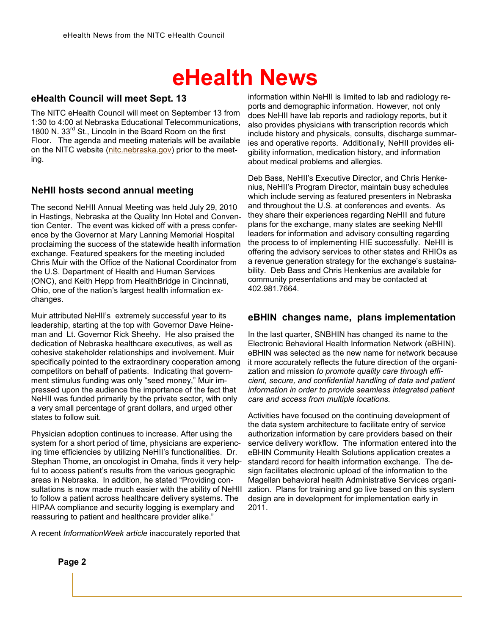## **eHealth News**

### **eHealth Council will meet Sept. 13**

The NITC eHealth Council will meet on September 13 from 1:30 to 4:00 at Nebraska Educational Telecommunications, 1800 N. 33<sup>rd</sup> St., Lincoln in the Board Room on the first Floor. The agenda and meeting materials will be available on the NITC website ([nitc.nebraska.gov\)](http://nitc.nebraska.gov/) prior to the meeting.

#### **NeHII hosts second annual meeting**

The second NeHII Annual Meeting was held July 29, 2010 in Hastings, Nebraska at the Quality Inn Hotel and Convention Center. The event was kicked off with a press conference by the Governor at Mary Lanning Memorial Hospital proclaiming the success of the statewide health information exchange. Featured speakers for the meeting included Chris Muir with the Office of the National Coordinator from the U.S. Department of Health and Human Services (ONC), and Keith Hepp from HealthBridge in Cincinnati, Ohio, one of the nation's largest health information exchanges.

Muir attributed NeHII's extremely successful year to its leadership, starting at the top with Governor Dave Heineman and Lt. Governor Rick Sheehy. He also praised the dedication of Nebraska healthcare executives, as well as cohesive stakeholder relationships and involvement. Muir specifically pointed to the extraordinary cooperation among competitors on behalf of patients. Indicating that government stimulus funding was only "seed money," Muir impressed upon the audience the importance of the fact that NeHII was funded primarily by the private sector, with only a very small percentage of grant dollars, and urged other states to follow suit.

Physician adoption continues to increase. After using the system for a short period of time, physicians are experiencing time efficiencies by utilizing NeHII's functionalities. Dr. Stephan Thome, an oncologist in Omaha, finds it very helpful to access patient's results from the various geographic areas in Nebraska. In addition, he stated "Providing consultations is now made much easier with the ability of NeHII to follow a patient across healthcare delivery systems. The HIPAA compliance and security logging is exemplary and reassuring to patient and healthcare provider alike."

A recent *InformationWeek article* inaccurately reported that

information within NeHII is limited to lab and radiology reports and demographic information. However, not only does NeHII have lab reports and radiology reports, but it also provides physicians with transcription records which include history and physicals, consults, discharge summaries and operative reports. Additionally, NeHII provides eligibility information, medication history, and information about medical problems and allergies.

Deb Bass, NeHII's Executive Director, and Chris Henkenius, NeHII's Program Director, maintain busy schedules which include serving as featured presenters in Nebraska and throughout the U.S. at conferences and events. As they share their experiences regarding NeHII and future plans for the exchange, many states are seeking NeHII leaders for information and advisory consulting regarding the process to of implementing HIE successfully. NeHII is offering the advisory services to other states and RHIOs as a revenue generation strategy for the exchange's sustainability. Deb Bass and Chris Henkenius are available for community presentations and may be contacted at 402.981.7664.

#### **eBHIN changes name, plans implementation**

In the last quarter, SNBHIN has changed its name to the Electronic Behavioral Health Information Network (eBHIN). eBHIN was selected as the new name for network because it more accurately reflects the future direction of the organization and mission *to promote quality care through efficient, secure, and confidential handling of data and patient information in order to provide seamless integrated patient care and access from multiple locations.*

Activities have focused on the continuing development of the data system architecture to facilitate entry of service authorization information by care providers based on their service delivery workflow. The information entered into the eBHIN Community Health Solutions application creates a standard record for health information exchange. The design facilitates electronic upload of the information to the Magellan behavioral health Administrative Services organization. Plans for training and go live based on this system design are in development for implementation early in 2011.

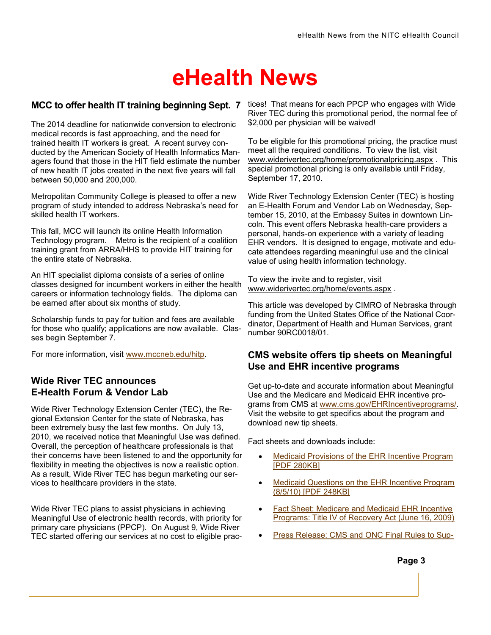# **eHealth News**

### **MCC to offer health IT training beginning Sept. 7**

The 2014 deadline for nationwide conversion to electronic medical records is fast approaching, and the need for trained health IT workers is great. A recent survey conducted by the American Society of Health Informatics Managers found that those in the HIT field estimate the number of new health IT jobs created in the next five years will fall between 50,000 and 200,000.

Metropolitan Community College is pleased to offer a new program of study intended to address Nebraska's need for skilled health IT workers.

This fall, MCC will launch its online Health Information Technology program. Metro is the recipient of a coalition training grant from ARRA/HHS to provide HIT training for the entire state of Nebraska.

An HIT specialist diploma consists of a series of online classes designed for incumbent workers in either the health careers or information technology fields. The diploma can be earned after about six months of study.

Scholarship funds to pay for tuition and fees are available for those who qualify; applications are now available. Classes begin September 7.

For more information, visit [www.mccneb.edu/hitp.](http://www.mccneb.edu/hitp)

### **Wide River TEC announces E-Health Forum & Vendor Lab**

Wide River Technology Extension Center (TEC), the Regional Extension Center for the state of Nebraska, has been extremely busy the last few months. On July 13, 2010, we received notice that Meaningful Use was defined. Overall, the perception of healthcare professionals is that their concerns have been listened to and the opportunity for flexibility in meeting the objectives is now a realistic option. As a result, Wide River TEC has begun marketing our services to healthcare providers in the state.

Wide River TEC plans to assist physicians in achieving Meaningful Use of electronic health records, with priority for primary care physicians (PPCP). On August 9, Wide River TEC started offering our services at no cost to eligible prac-

tices! That means for each PPCP who engages with Wide River TEC during this promotional period, the normal fee of \$2,000 per physician will be waived!

To be eligible for this promotional pricing, the practice must meet all the required conditions. To view the list, visit [www.widerivertec.org/home/promotionalpricing.aspx](http://www.widerivertec.org/home/promotionalpricing.aspx) . This special promotional pricing is only available until Friday, September 17, 2010.

Wide River Technology Extension Center (TEC) is hosting an E-Health Forum and Vendor Lab on Wednesday, September 15, 2010, at the Embassy Suites in downtown Lincoln. This event offers Nebraska health-care providers a personal, hands-on experience with a variety of leading EHR vendors. It is designed to engage, motivate and educate attendees regarding meaningful use and the clinical value of using health information technology.

To view the invite and to register, visit [www.widerivertec.org/home/events.aspx](http://www.widerivertec.org/home/events.aspx) .

This article was developed by CIMRO of Nebraska through funding from the United States Office of the National Coordinator, Department of Health and Human Services, grant number 90RC0018/01.

### **CMS website offers tip sheets on Meaningful Use and EHR incentive programs**

Get up-to-date and accurate information about Meaningful Use and the Medicare and Medicaid EHR incentive programs from CMS at [www.cms.gov/EHRIncentiveprograms/.](http://www.cms.gov/EHRIncentiveprograms/) Visit the website to get specifics about the program and download new tip sheets.

Fact sheets and downloads include:

- [Medicaid Provisions of the EHR Incentive Program](http://www.cms.gov/MLNProducts/downloads/EHR_Final_Rule-Medicaid.pdf)  [\[PDF 280KB\]](http://www.cms.gov/MLNProducts/downloads/EHR_Final_Rule-Medicaid.pdf)
- [Medicaid Questions on the EHR Incentive Program](http://www.cms.gov/MLNProducts/downloads/Medicaid_Qs-EHRIP_Final_Rule.pdf)  [\(8/5/10\) \[PDF 248KB\]](http://www.cms.gov/MLNProducts/downloads/Medicaid_Qs-EHRIP_Final_Rule.pdf)
- [Fact Sheet: Medicare and Medicaid EHR Incentive](https://www.cms.gov/apps/media/press/factsheet.asp?Counter=3466&intNumPerPage=10&checkDate=&checkKey=&srchType=1&numDays=3500&srchOpt=0&srchData=&keywordType=All&chkNewsType=6&intPage=&showAll=&pYear=&year=&desc=&cboOrder=date)  [Programs: Title IV of Recovery Act \(June 16, 2009\)](https://www.cms.gov/apps/media/press/factsheet.asp?Counter=3466&intNumPerPage=10&checkDate=&checkKey=&srchType=1&numDays=3500&srchOpt=0&srchData=&keywordType=All&chkNewsType=6&intPage=&showAll=&pYear=&year=&desc=&cboOrder=date)
- [Press Release: CMS and ONC Final Rules to Sup-](https://www.cms.gov/apps/media/press/release.asp?Counter=3786&intNumPerPage=10&checkDate=&checkKey=&srchType=1&numDays=3500&srchOpt=0&srchData=&keywordType=All&chkNewsType=1%2C+2%2C+3%2C+4%2C+5&intPage=&showAll=&pYear=&year=&desc=&cboOrder=date)

**Page 3**